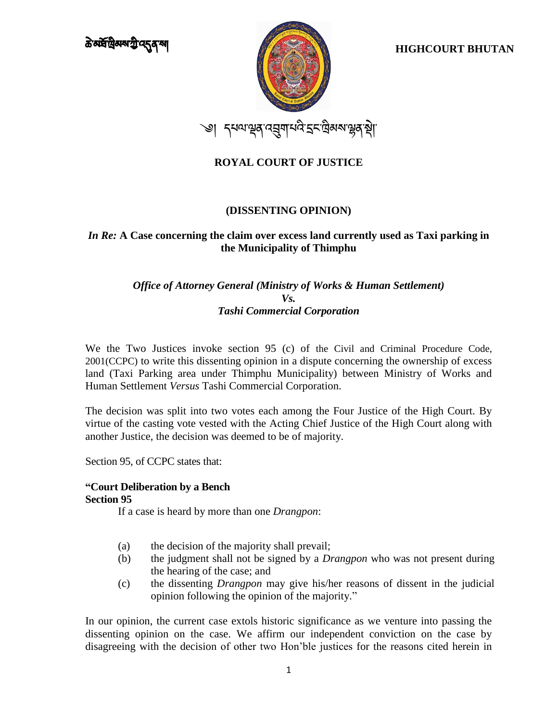

### **(DISSENTING OPINION)**

### *In Re:* **A Case concerning the claim over excess land currently used as Taxi parking in the Municipality of Thimphu**

## *Office of Attorney General (Ministry of Works & Human Settlement) Vs. Tashi Commercial Corporation*

We the Two Justices invoke section 95 (c) of the Civil and Criminal Procedure Code, 2001(CCPC) to write this dissenting opinion in a dispute concerning the ownership of excess land (Taxi Parking area under Thimphu Municipality) between Ministry of Works and Human Settlement *Versus* Tashi Commercial Corporation.

The decision was split into two votes each among the Four Justice of the High Court. By virtue of the casting vote vested with the Acting Chief Justice of the High Court along with another Justice, the decision was deemed to be of majority.

Section 95, of CCPC states that:

# **"Court Deliberation by a Bench**

### **Section 95**

If a case is heard by more than one *Drangpon*:

- (a) the decision of the majority shall prevail;
- (b) the judgment shall not be signed by a *Drangpon* who was not present during the hearing of the case; and
- (c) the dissenting *Drangpon* may give his/her reasons of dissent in the judicial opinion following the opinion of the majority."

In our opinion, the current case extols historic significance as we venture into passing the dissenting opinion on the case. We affirm our independent conviction on the case by disagreeing with the decision of other two Hon'ble justices for the reasons cited herein in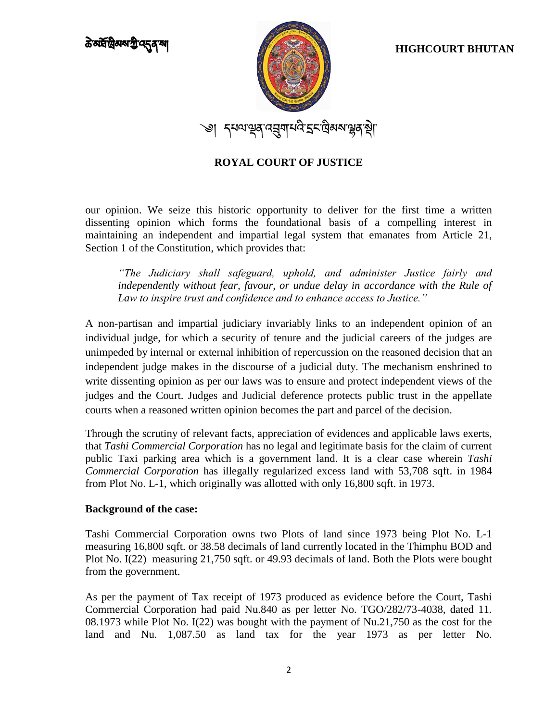

our opinion. We seize this historic opportunity to deliver for the first time a written dissenting opinion which forms the foundational basis of a compelling interest in maintaining an independent and impartial legal system that emanates from Article 21, Section 1 of the Constitution, which provides that:

*"The Judiciary shall safeguard, uphold, and administer Justice fairly and*  independently without fear, favour, or undue delay in accordance with the Rule of *Law to inspire trust and confidence and to enhance access to Justice."*

A non-partisan and impartial judiciary invariably links to an independent opinion of an individual judge, for which a security of tenure and the judicial careers of the judges are unimpeded by internal or external inhibition of repercussion on the reasoned decision that an independent judge makes in the discourse of a judicial duty. The mechanism enshrined to write dissenting opinion as per our laws was to ensure and protect independent views of the judges and the Court. Judges and Judicial deference protects public trust in the appellate courts when a reasoned written opinion becomes the part and parcel of the decision.

Through the scrutiny of relevant facts, appreciation of evidences and applicable laws exerts, that *Tashi Commercial Corporation* has no legal and legitimate basis for the claim of current public Taxi parking area which is a government land. It is a clear case wherein *Tashi Commercial Corporation* has illegally regularized excess land with 53,708 sqft. in 1984 from Plot No. L-1, which originally was allotted with only 16,800 sqft. in 1973.

### **Background of the case:**

Tashi Commercial Corporation owns two Plots of land since 1973 being Plot No. L-1 measuring 16,800 sqft. or 38.58 decimals of land currently located in the Thimphu BOD and Plot No. I(22) measuring 21,750 sqft. or 49.93 decimals of land. Both the Plots were bought from the government.

As per the payment of Tax receipt of 1973 produced as evidence before the Court, Tashi Commercial Corporation had paid Nu.840 as per letter No. TGO/282/73-4038, dated 11. 08.1973 while Plot No. I(22) was bought with the payment of Nu.21,750 as the cost for the land and Nu. 1,087.50 as land tax for the year 1973 as per letter No.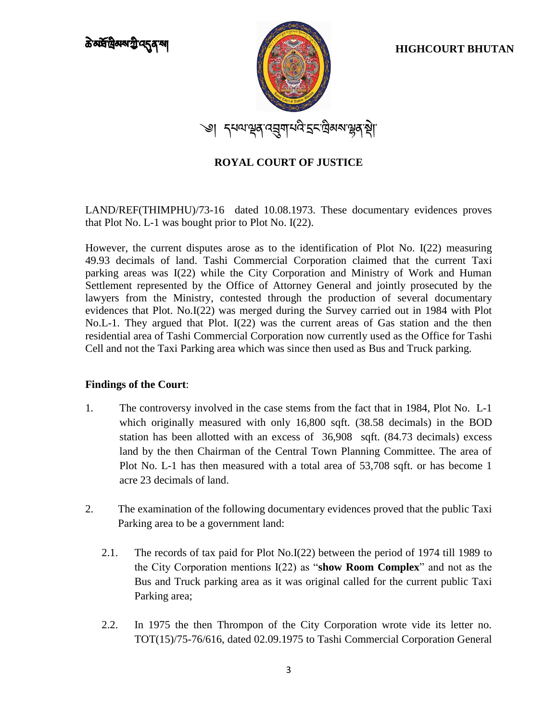

LAND/REF(THIMPHU)/73-16 dated 10.08.1973. These documentary evidences proves that Plot No. L-1 was bought prior to Plot No. I(22).

However, the current disputes arose as to the identification of Plot No. I(22) measuring 49.93 decimals of land. Tashi Commercial Corporation claimed that the current Taxi parking areas was I(22) while the City Corporation and Ministry of Work and Human Settlement represented by the Office of Attorney General and jointly prosecuted by the lawyers from the Ministry, contested through the production of several documentary evidences that Plot. No.I(22) was merged during the Survey carried out in 1984 with Plot No.L-1. They argued that Plot. I(22) was the current areas of Gas station and the then residential area of Tashi Commercial Corporation now currently used as the Office for Tashi Cell and not the Taxi Parking area which was since then used as Bus and Truck parking.

### **Findings of the Court**:

- 1. The controversy involved in the case stems from the fact that in 1984, Plot No. L-1 which originally measured with only 16,800 sqft. (38.58 decimals) in the BOD station has been allotted with an excess of 36,908 sqft. (84.73 decimals) excess land by the then Chairman of the Central Town Planning Committee. The area of Plot No. L-1 has then measured with a total area of 53,708 sqft. or has become 1 acre 23 decimals of land.
- 2. The examination of the following documentary evidences proved that the public Taxi Parking area to be a government land:
	- 2.1. The records of tax paid for Plot No.I(22) between the period of 1974 till 1989 to the City Corporation mentions I(22) as "**show Room Complex**" and not as the Bus and Truck parking area as it was original called for the current public Taxi Parking area;
	- 2.2. In 1975 the then Thrompon of the City Corporation wrote vide its letter no. TOT(15)/75-76/616, dated 02.09.1975 to Tashi Commercial Corporation General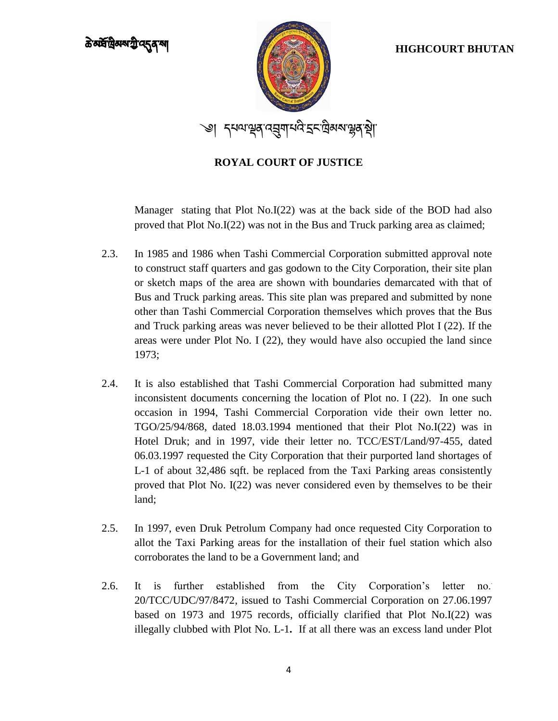

Manager stating that Plot No.I(22) was at the back side of the BOD had also proved that Plot No.I(22) was not in the Bus and Truck parking area as claimed;

- 2.3. In 1985 and 1986 when Tashi Commercial Corporation submitted approval note to construct staff quarters and gas godown to the City Corporation, their site plan or sketch maps of the area are shown with boundaries demarcated with that of Bus and Truck parking areas. This site plan was prepared and submitted by none other than Tashi Commercial Corporation themselves which proves that the Bus and Truck parking areas was never believed to be their allotted Plot I (22). If the areas were under Plot No. I (22), they would have also occupied the land since 1973;
- 2.4. It is also established that Tashi Commercial Corporation had submitted many inconsistent documents concerning the location of Plot no. I (22). In one such occasion in 1994, Tashi Commercial Corporation vide their own letter no. TGO/25/94/868, dated 18.03.1994 mentioned that their Plot No.I(22) was in Hotel Druk; and in 1997, vide their letter no. TCC/EST/Land/97-455, dated 06.03.1997 requested the City Corporation that their purported land shortages of L-1 of about 32,486 sqft. be replaced from the Taxi Parking areas consistently proved that Plot No. I(22) was never considered even by themselves to be their land;
- 2.5. In 1997, even Druk Petrolum Company had once requested City Corporation to allot the Taxi Parking areas for the installation of their fuel station which also corroborates the land to be a Government land; and
- 2.6. It is further established from the City Corporation's letter no. 20/TCC/UDC/97/8472, issued to Tashi Commercial Corporation on 27.06.1997 based on 1973 and 1975 records, officially clarified that Plot No.I(22) was illegally clubbed with Plot No. L-1**.** If at all there was an excess land under Plot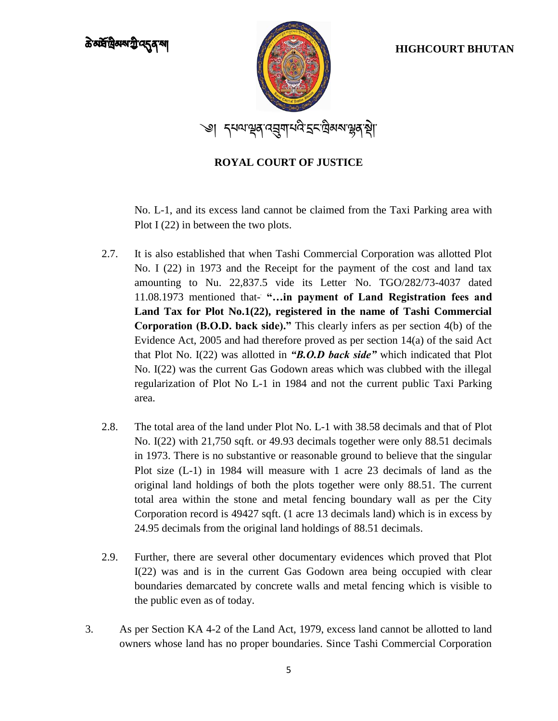

No. L-1, and its excess land cannot be claimed from the Taxi Parking area with Plot I (22) in between the two plots.

- 2.7. It is also established that when Tashi Commercial Corporation was allotted Plot No. I (22) in 1973 and the Receipt for the payment of the cost and land tax amounting to Nu. 22,837.5 vide its Letter No. TGO/282/73-4037 dated 11.08.1973 mentioned that- **"…in payment of Land Registration fees and Land Tax for Plot No.1(22), registered in the name of Tashi Commercial Corporation (B.O.D. back side)."** This clearly infers as per section 4(b) of the Evidence Act, 2005 and had therefore proved as per section 14(a) of the said Act that Plot No. I(22) was allotted in *"B.O.D back side"* which indicated that Plot No. I(22) was the current Gas Godown areas which was clubbed with the illegal regularization of Plot No L-1 in 1984 and not the current public Taxi Parking area.
- 2.8. The total area of the land under Plot No. L-1 with 38.58 decimals and that of Plot No. I(22) with 21,750 sqft. or 49.93 decimals together were only 88.51 decimals in 1973. There is no substantive or reasonable ground to believe that the singular Plot size (L-1) in 1984 will measure with 1 acre 23 decimals of land as the original land holdings of both the plots together were only 88.51. The current total area within the stone and metal fencing boundary wall as per the City Corporation record is 49427 sqft. (1 acre 13 decimals land) which is in excess by 24.95 decimals from the original land holdings of 88.51 decimals.
- 2.9. Further, there are several other documentary evidences which proved that Plot I(22) was and is in the current Gas Godown area being occupied with clear boundaries demarcated by concrete walls and metal fencing which is visible to the public even as of today.
- 3. As per Section KA 4-2 of the Land Act, 1979, excess land cannot be allotted to land owners whose land has no proper boundaries. Since Tashi Commercial Corporation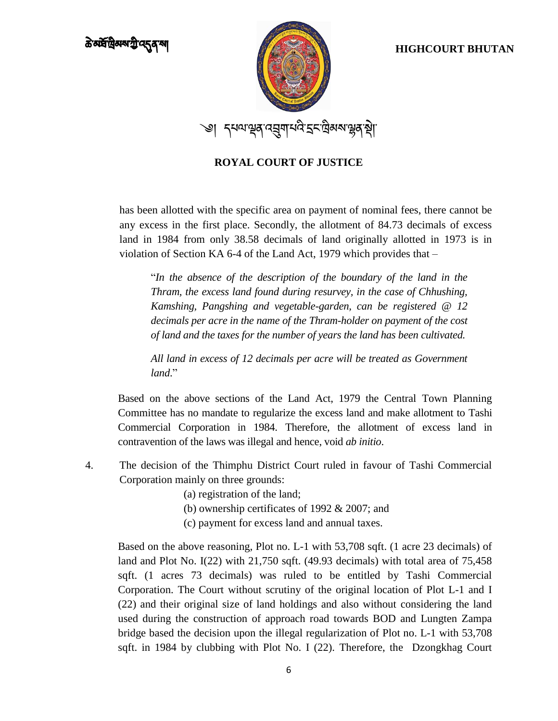

has been allotted with the specific area on payment of nominal fees, there cannot be any excess in the first place. Secondly, the allotment of 84.73 decimals of excess land in 1984 from only 38.58 decimals of land originally allotted in 1973 is in violation of Section KA 6-4 of the Land Act, 1979 which provides that –

"*In the absence of the description of the boundary of the land in the Thram, the excess land found during resurvey, in the case of Chhushing, Kamshing, Pangshing and vegetable-garden, can be registered @ 12 decimals per acre in the name of the Thram-holder on payment of the cost of land and the taxes for the number of years the land has been cultivated.*

*All land in excess of 12 decimals per acre will be treated as Government land*."

Based on the above sections of the Land Act, 1979 the Central Town Planning Committee has no mandate to regularize the excess land and make allotment to Tashi Commercial Corporation in 1984. Therefore, the allotment of excess land in contravention of the laws was illegal and hence, void *ab initio*.

- 4. The decision of the Thimphu District Court ruled in favour of Tashi Commercial Corporation mainly on three grounds:
	- (a) registration of the land;
	- (b) ownership certificates of 1992 & 2007; and
	- (c) payment for excess land and annual taxes.

Based on the above reasoning, Plot no. L-1 with 53,708 sqft. (1 acre 23 decimals) of land and Plot No. I(22) with 21,750 sqft. (49.93 decimals) with total area of 75,458 sqft. (1 acres 73 decimals) was ruled to be entitled by Tashi Commercial Corporation. The Court without scrutiny of the original location of Plot L-1 and I (22) and their original size of land holdings and also without considering the land used during the construction of approach road towards BOD and Lungten Zampa bridge based the decision upon the illegal regularization of Plot no. L-1 with 53,708 sqft. in 1984 by clubbing with Plot No. I (22). Therefore, the Dzongkhag Court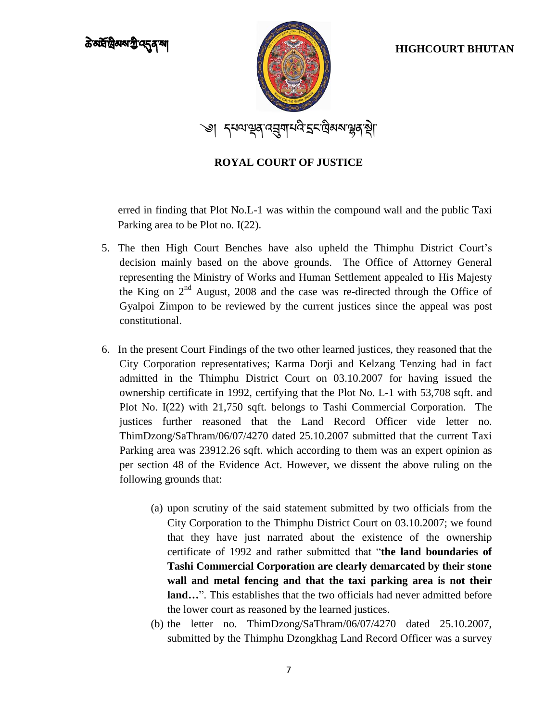

erred in finding that Plot No.L-1 was within the compound wall and the public Taxi Parking area to be Plot no. I(22).

- 5. The then High Court Benches have also upheld the Thimphu District Court's decision mainly based on the above grounds. The Office of Attorney General representing the Ministry of Works and Human Settlement appealed to His Majesty the King on 2<sup>nd</sup> August, 2008 and the case was re-directed through the Office of Gyalpoi Zimpon to be reviewed by the current justices since the appeal was post constitutional.
- 6. In the present Court Findings of the two other learned justices, they reasoned that the City Corporation representatives; Karma Dorji and Kelzang Tenzing had in fact admitted in the Thimphu District Court on 03.10.2007 for having issued the ownership certificate in 1992, certifying that the Plot No. L-1 with 53,708 sqft. and Plot No. I(22) with 21,750 sqft. belongs to Tashi Commercial Corporation. The justices further reasoned that the Land Record Officer vide letter no. ThimDzong/SaThram/06/07/4270 dated 25.10.2007 submitted that the current Taxi Parking area was 23912.26 sqft. which according to them was an expert opinion as per section 48 of the Evidence Act. However, we dissent the above ruling on the following grounds that:
	- (a) upon scrutiny of the said statement submitted by two officials from the City Corporation to the Thimphu District Court on 03.10.2007; we found that they have just narrated about the existence of the ownership certificate of 1992 and rather submitted that "**the land boundaries of Tashi Commercial Corporation are clearly demarcated by their stone wall and metal fencing and that the taxi parking area is not their land…**". This establishes that the two officials had never admitted before the lower court as reasoned by the learned justices.
	- (b) the letter no. ThimDzong/SaThram/06/07/4270 dated 25.10.2007, submitted by the Thimphu Dzongkhag Land Record Officer was a survey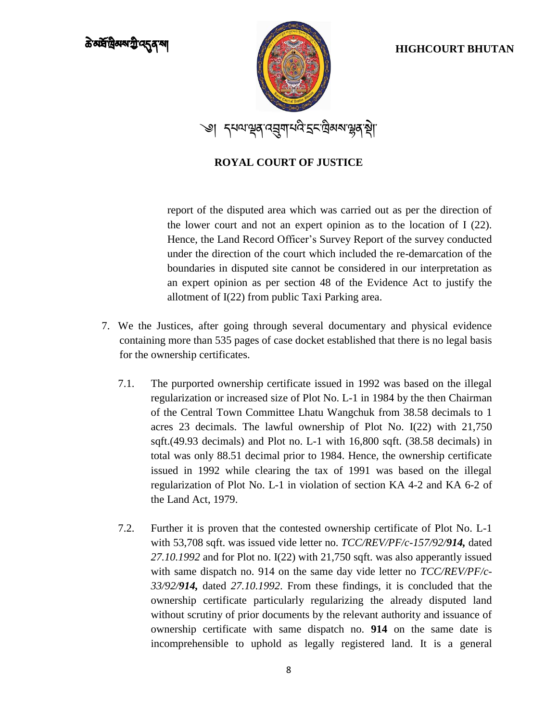

report of the disputed area which was carried out as per the direction of the lower court and not an expert opinion as to the location of I (22). Hence, the Land Record Officer's Survey Report of the survey conducted under the direction of the court which included the re-demarcation of the boundaries in disputed site cannot be considered in our interpretation as an expert opinion as per section 48 of the Evidence Act to justify the allotment of I(22) from public Taxi Parking area.

- 7. We the Justices, after going through several documentary and physical evidence containing more than 535 pages of case docket established that there is no legal basis for the ownership certificates.
	- 7.1. The purported ownership certificate issued in 1992 was based on the illegal regularization or increased size of Plot No. L-1 in 1984 by the then Chairman of the Central Town Committee Lhatu Wangchuk from 38.58 decimals to 1 acres 23 decimals. The lawful ownership of Plot No. I(22) with 21,750 sqft.(49.93 decimals) and Plot no. L-1 with 16,800 sqft. (38.58 decimals) in total was only 88.51 decimal prior to 1984. Hence, the ownership certificate issued in 1992 while clearing the tax of 1991 was based on the illegal regularization of Plot No. L-1 in violation of section KA 4-2 and KA 6-2 of the Land Act, 1979.
	- 7.2. Further it is proven that the contested ownership certificate of Plot No. L-1 with 53,708 sqft. was issued vide letter no. *TCC/REV/PF/c-157/92/914,* dated *27.10.1992* and for Plot no. I(22) with 21,750 sqft. was also apperantly issued with same dispatch no. 914 on the same day vide letter no *TCC/REV/PF/c-33/92/914,* dated *27.10.1992*. From these findings, it is concluded that the ownership certificate particularly regularizing the already disputed land without scrutiny of prior documents by the relevant authority and issuance of ownership certificate with same dispatch no. **914** on the same date is incomprehensible to uphold as legally registered land. It is a general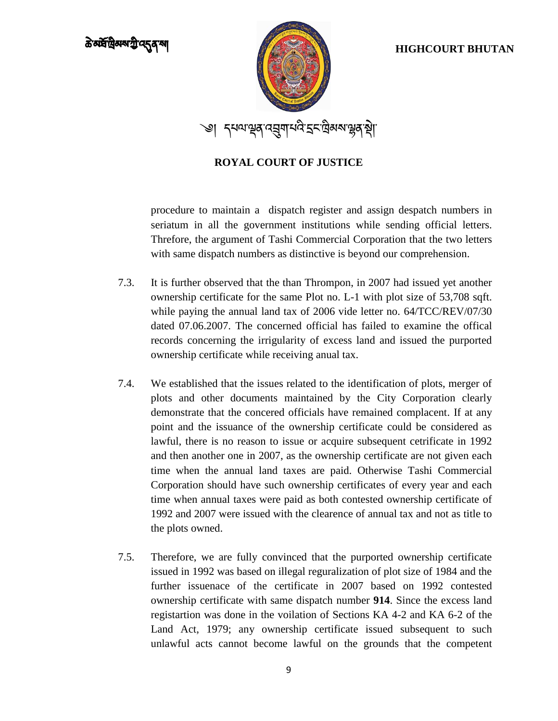

procedure to maintain a dispatch register and assign despatch numbers in seriatum in all the government institutions while sending official letters. Threfore, the argument of Tashi Commercial Corporation that the two letters with same dispatch numbers as distinctive is beyond our comprehension.

- 7.3. It is further observed that the than Thrompon, in 2007 had issued yet another ownership certificate for the same Plot no. L-1 with plot size of 53,708 sqft. while paying the annual land tax of 2006 vide letter no. 64/TCC/REV/07/30 dated 07.06.2007. The concerned official has failed to examine the offical records concerning the irrigularity of excess land and issued the purported ownership certificate while receiving anual tax.
- 7.4. We established that the issues related to the identification of plots, merger of plots and other documents maintained by the City Corporation clearly demonstrate that the concered officials have remained complacent. If at any point and the issuance of the ownership certificate could be considered as lawful, there is no reason to issue or acquire subsequent cetrificate in 1992 and then another one in 2007, as the ownership certificate are not given each time when the annual land taxes are paid. Otherwise Tashi Commercial Corporation should have such ownership certificates of every year and each time when annual taxes were paid as both contested ownership certificate of 1992 and 2007 were issued with the clearence of annual tax and not as title to the plots owned.
- 7.5. Therefore, we are fully convinced that the purported ownership certificate issued in 1992 was based on illegal reguralization of plot size of 1984 and the further issuenace of the certificate in 2007 based on 1992 contested ownership certificate with same dispatch number **914**. Since the excess land registartion was done in the voilation of Sections KA 4-2 and KA 6-2 of the Land Act, 1979; any ownership certificate issued subsequent to such unlawful acts cannot become lawful on the grounds that the competent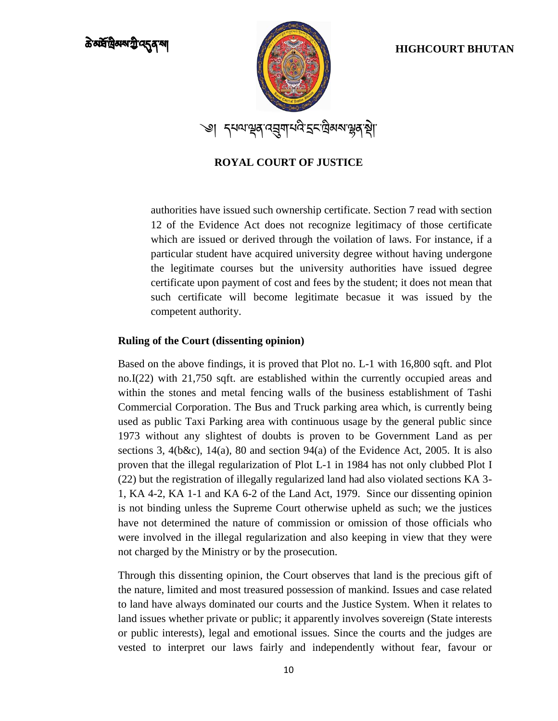

authorities have issued such ownership certificate. Section 7 read with section 12 of the Evidence Act does not recognize legitimacy of those certificate which are issued or derived through the voilation of laws. For instance, if a particular student have acquired university degree without having undergone the legitimate courses but the university authorities have issued degree certificate upon payment of cost and fees by the student; it does not mean that such certificate will become legitimate becasue it was issued by the competent authority.

### **Ruling of the Court (dissenting opinion)**

Based on the above findings, it is proved that Plot no. L-1 with 16,800 sqft. and Plot no.I(22) with 21,750 sqft. are established within the currently occupied areas and within the stones and metal fencing walls of the business establishment of Tashi Commercial Corporation. The Bus and Truck parking area which, is currently being used as public Taxi Parking area with continuous usage by the general public since 1973 without any slightest of doubts is proven to be Government Land as per sections 3, 4(b&c), 14(a), 80 and section 94(a) of the Evidence Act, 2005. It is also proven that the illegal regularization of Plot L-1 in 1984 has not only clubbed Plot I (22) but the registration of illegally regularized land had also violated sections KA 3- 1, KA 4-2, KA 1-1 and KA 6-2 of the Land Act, 1979. Since our dissenting opinion is not binding unless the Supreme Court otherwise upheld as such; we the justices have not determined the nature of commission or omission of those officials who were involved in the illegal regularization and also keeping in view that they were not charged by the Ministry or by the prosecution.

Through this dissenting opinion, the Court observes that land is the precious gift of the nature, limited and most treasured possession of mankind. Issues and case related to land have always dominated our courts and the Justice System. When it relates to land issues whether private or public; it apparently involves sovereign (State interests or public interests), legal and emotional issues. Since the courts and the judges are vested to interpret our laws fairly and independently without fear, favour or